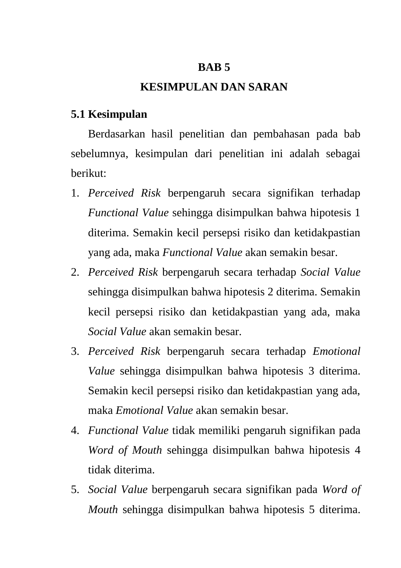### **BAB 5**

# **KESIMPULAN DAN SARAN**

## **5.1 Kesimpulan**

Berdasarkan hasil penelitian dan pembahasan pada bab sebelumnya, kesimpulan dari penelitian ini adalah sebagai berikut:

- 1. *Perceived Risk* berpengaruh secara signifikan terhadap *Functional Value* sehingga disimpulkan bahwa hipotesis 1 diterima. Semakin kecil persepsi risiko dan ketidakpastian yang ada, maka *Functional Value* akan semakin besar.
- 2. *Perceived Risk* berpengaruh secara terhadap *Social Value* sehingga disimpulkan bahwa hipotesis 2 diterima. Semakin kecil persepsi risiko dan ketidakpastian yang ada, maka *Social Value* akan semakin besar.
- 3. *Perceived Risk* berpengaruh secara terhadap *Emotional Value* sehingga disimpulkan bahwa hipotesis 3 diterima. Semakin kecil persepsi risiko dan ketidakpastian yang ada, maka *Emotional Value* akan semakin besar.
- 4. *Functional Value* tidak memiliki pengaruh signifikan pada *Word of Mouth* sehingga disimpulkan bahwa hipotesis 4 tidak diterima.
- 5. *Social Value* berpengaruh secara signifikan pada *Word of Mouth* sehingga disimpulkan bahwa hipotesis 5 diterima.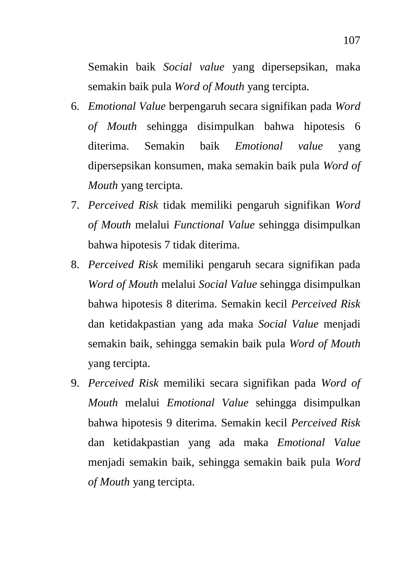Semakin baik *Social value* yang dipersepsikan, maka semakin baik pula *Word of Mouth* yang tercipta.

- 6. *Emotional Value* berpengaruh secara signifikan pada *Word of Mouth* sehingga disimpulkan bahwa hipotesis 6 diterima. Semakin baik *Emotional value* yang dipersepsikan konsumen, maka semakin baik pula *Word of Mouth* yang tercipta.
- 7. *Perceived Risk* tidak memiliki pengaruh signifikan *Word of Mouth* melalui *Functional Value* sehingga disimpulkan bahwa hipotesis 7 tidak diterima.
- 8. *Perceived Risk* memiliki pengaruh secara signifikan pada *Word of Mouth* melalui *Social Value* sehingga disimpulkan bahwa hipotesis 8 diterima. Semakin kecil *Perceived Risk* dan ketidakpastian yang ada maka *Social Value* menjadi semakin baik, sehingga semakin baik pula *Word of Mouth*  yang tercipta.
- 9. *Perceived Risk* memiliki secara signifikan pada *Word of Mouth* melalui *Emotional Value* sehingga disimpulkan bahwa hipotesis 9 diterima. Semakin kecil *Perceived Risk* dan ketidakpastian yang ada maka *Emotional Value*  menjadi semakin baik, sehingga semakin baik pula *Word of Mouth* yang tercipta.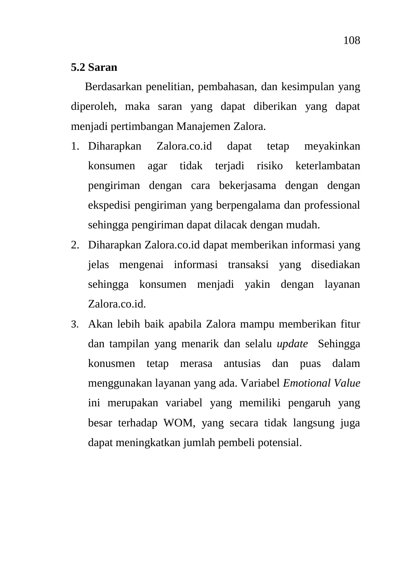#### **5.2 Saran**

Berdasarkan penelitian, pembahasan, dan kesimpulan yang diperoleh, maka saran yang dapat diberikan yang dapat menjadi pertimbangan Manajemen Zalora.

- 1. Diharapkan Zalora.co.id dapat tetap meyakinkan konsumen agar tidak terjadi risiko keterlambatan pengiriman dengan cara bekerjasama dengan dengan ekspedisi pengiriman yang berpengalama dan professional sehingga pengiriman dapat dilacak dengan mudah.
- 2. Diharapkan Zalora.co.id dapat memberikan informasi yang jelas mengenai informasi transaksi yang disediakan sehingga konsumen menjadi yakin dengan layanan Zalora.co.id.
- 3. Akan lebih baik apabila Zalora mampu memberikan fitur dan tampilan yang menarik dan selalu *update* Sehingga konusmen tetap merasa antusias dan puas dalam menggunakan layanan yang ada. Variabel *Emotional Value*  ini merupakan variabel yang memiliki pengaruh yang besar terhadap WOM, yang secara tidak langsung juga dapat meningkatkan jumlah pembeli potensial.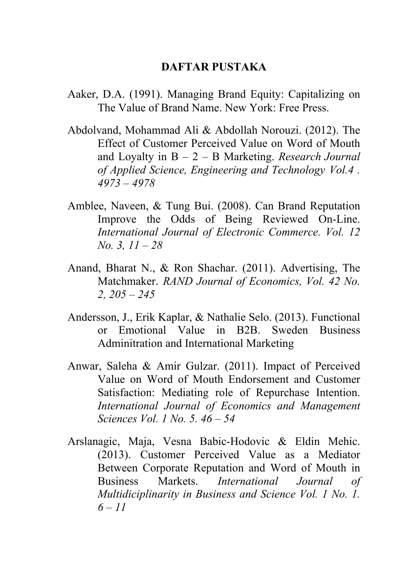# **DAFTAR PUSTAKA**

- Aaker, D.A. (1991). Managing Brand Equity: Capitalizing on The Value of Brand Name. New York: Free Press.
- Abdolvand, Mohammad Ali & Abdollah Norouzi. (2012). The Effect of Customer Perceived Value on Word of Mouth and Loyalty in B – 2 – B Marketing. *Research Journal of Applied Science, Engineering and Technology Vol.4 . 4973 – 4978*
- Amblee, Naveen, & Tung Bui. (2008). Can Brand Reputation Improve the Odds of Being Reviewed On-Line. *International Journal of Electronic Commerce. Vol. 12 No. 3, 11 – 28*
- Anand, Bharat N., & Ron Shachar. (2011). Advertising, The Matchmaker. *RAND Journal of Economics, Vol. 42 No. 2, 205 – 245*
- Andersson, J., Erik Kaplar, & Nathalie Selo. (2013). Functional or Emotional Value in B2B. Sweden Business Adminitration and International Marketing
- Anwar, Saleha & Amir Gulzar. (2011). Impact of Perceived Value on Word of Mouth Endorsement and Customer Satisfaction: Mediating role of Repurchase Intention. *International Journal of Economics and Management Sciences Vol. 1 No. 5. 46 – 54*
- Arslanagic, Maja, Vesna Babic-Hodovic & Eldin Mehic. (2013). Customer Perceived Value as a Mediator Between Corporate Reputation and Word of Mouth in Business Markets. *International Journal of Multidiciplinarity in Business and Science Vol. 1 No. 1. 6 – 11*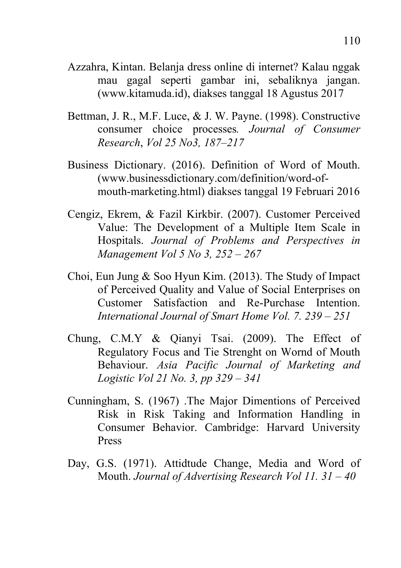- Azzahra, Kintan. Belanja dress online di internet? Kalau nggak mau gagal seperti gambar ini, sebaliknya jangan. (www.kitamuda.id), diakses tanggal 18 Agustus 2017
- Bettman, J. R., M.F. Luce, & J. W. Payne. (1998). Constructive consumer choice processes*. Journal of Consumer Research*, *Vol 25 No3, 187–217*
- Business Dictionary. (2016). Definition of Word of Mouth. (www.businessdictionary.com/definition/word-ofmouth-marketing.html) diakses tanggal 19 Februari 2016
- Cengiz, Ekrem, & Fazil Kirkbir. (2007). Customer Perceived Value: The Development of a Multiple Item Scale in Hospitals. *Journal of Problems and Perspectives in Management Vol 5 No 3, 252 – 267*
- Choi, Eun Jung & Soo Hyun Kim. (2013). The Study of Impact of Perceived Quality and Value of Social Enterprises on Customer Satisfaction and Re-Purchase Intention. *International Journal of Smart Home Vol. 7. 239 – 251*
- Chung, C.M.Y & Qianyi Tsai. (2009). The Effect of Regulatory Focus and Tie Strenght on Wornd of Mouth Behaviour. *Asia Pacific Journal of Marketing and Logistic Vol 21 No. 3, pp 329 – 341*
- Cunningham, S. (1967) .The Major Dimentions of Perceived Risk in Risk Taking and Information Handling in Consumer Behavior. Cambridge: Harvard University Press
- Day, G.S. (1971). Attidtude Change, Media and Word of Mouth. *Journal of Advertising Research Vol 11. 31 – 40*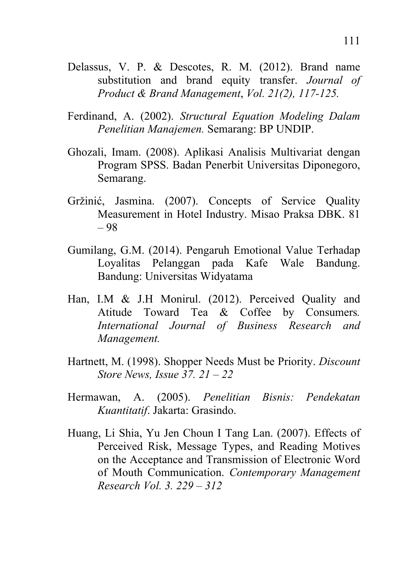- Delassus, V. P. & Descotes, R. M. (2012). Brand name substitution and brand equity transfer. *Journal of Product & Brand Management*, *Vol. 21(2), 117-125.*
- Ferdinand, A. (2002). *Structural Equation Modeling Dalam Penelitian Manajemen.* Semarang: BP UNDIP.
- Ghozali, Imam. (2008). Aplikasi Analisis Multivariat dengan Program SPSS. Badan Penerbit Universitas Diponegoro, Semarang.
- Gržinić, Jasmina. (2007). Concepts of Service Quality Measurement in Hotel Industry. Misao Praksa DBK. 81 – 98
- Gumilang, G.M. (2014). Pengaruh Emotional Value Terhadap Loyalitas Pelanggan pada Kafe Wale Bandung. Bandung: Universitas Widyatama
- Han, I.M & J.H Monirul. (2012). Perceived Quality and Atitude Toward Tea & Coffee by Consumers*. International Journal of Business Research and Management.*
- Hartnett, M. (1998). Shopper Needs Must be Priority. *Discount Store News, Issue 37. 21 – 22*
- Hermawan, A. (2005). *Penelitian Bisnis: Pendekatan Kuantitatif*. Jakarta: Grasindo.
- Huang, Li Shia, Yu Jen Choun I Tang Lan. (2007). Effects of Perceived Risk, Message Types, and Reading Motives on the Acceptance and Transmission of Electronic Word of Mouth Communication. *Contemporary Management Research Vol. 3. 229 – 312*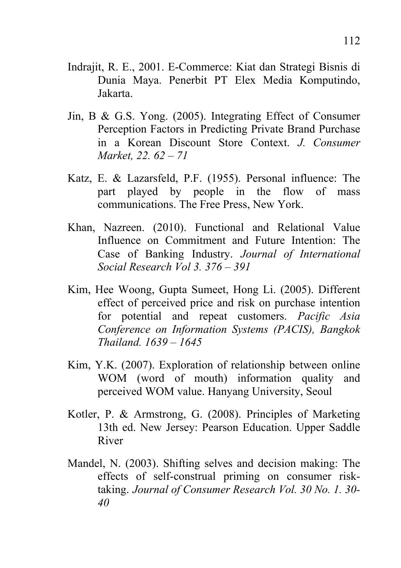- Indrajit, R. E., 2001. E-Commerce: Kiat dan Strategi Bisnis di Dunia Maya. Penerbit PT Elex Media Komputindo, Jakarta.
- Jin, B & G.S. Yong. (2005). Integrating Effect of Consumer Perception Factors in Predicting Private Brand Purchase in a Korean Discount Store Context. *J. Consumer Market, 22. 62 – 71*
- Katz, E. & Lazarsfeld, P.F. (1955). Personal influence: The part played by people in the flow of mass communications. The Free Press, New York.
- Khan, Nazreen. (2010). Functional and Relational Value Influence on Commitment and Future Intention: The Case of Banking Industry. *Journal of International Social Research Vol 3. 376 – 391*
- Kim, Hee Woong, Gupta Sumeet, Hong Li. (2005). Different effect of perceived price and risk on purchase intention for potential and repeat customers. *Pacific Asia Conference on Information Systems (PACIS), Bangkok Thailand. 1639 – 1645*
- Kim, Y.K. (2007). Exploration of relationship between online WOM (word of mouth) information quality and perceived WOM value. Hanyang University, Seoul
- Kotler, P. & Armstrong, G. (2008). Principles of Marketing 13th ed. New Jersey: Pearson Education. Upper Saddle River
- Mandel, N. (2003). Shifting selves and decision making: The effects of self-construal priming on consumer risktaking. *Journal of Consumer Research Vol. 30 No. 1. 30- 40*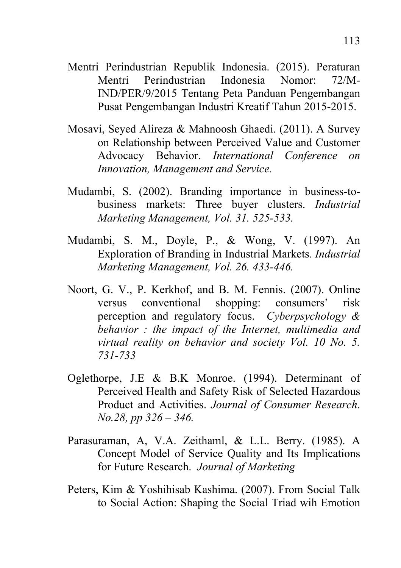- Mentri Perindustrian Republik Indonesia. (2015). Peraturan Mentri Perindustrian Indonesia Nomor: 72/M-IND/PER/9/2015 Tentang Peta Panduan Pengembangan Pusat Pengembangan Industri Kreatif Tahun 2015-2015.
- Mosavi, Seyed Alireza & Mahnoosh Ghaedi. (2011). A Survey on Relationship between Perceived Value and Customer Advocacy Behavior. *International Conference on Innovation, Management and Service.*
- Mudambi, S. (2002). Branding importance in business-tobusiness markets: Three buyer clusters. *Industrial Marketing Management, Vol. 31. 525-533.*
- Mudambi, S. M., Doyle, P., & Wong, V. (1997). An Exploration of Branding in Industrial Markets*. Industrial Marketing Management, Vol. 26. 433-446.*
- Noort, G. V., P. Kerkhof, and B. M. Fennis. (2007). Online versus conventional shopping: consumers' risk perception and regulatory focus. *Cyberpsychology & behavior : the impact of the Internet, multimedia and virtual reality on behavior and society Vol. 10 No. 5. 731-733*
- Oglethorpe, J.E & B.K Monroe. (1994). Determinant of Perceived Health and Safety Risk of Selected Hazardous Product and Activities. *Journal of Consumer Research*. *No.28, pp 326 – 346.*
- Parasuraman, A, V.A. Zeithaml, & L.L. Berry. (1985). A Concept Model of Service Quality and Its Implications for Future Research. *Journal of Marketing*
- Peters, Kim & Yoshihisab Kashima. (2007). From Social Talk to Social Action: Shaping the Social Triad wih Emotion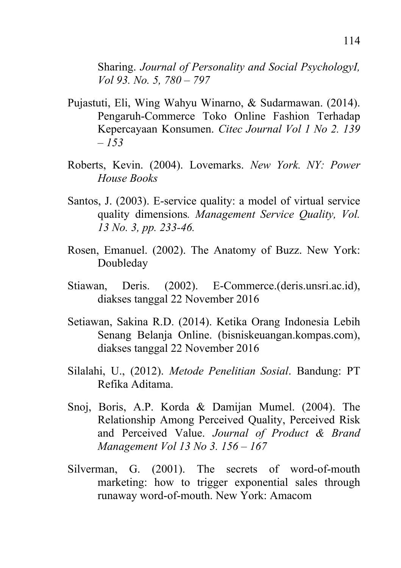Sharing. *Journal of Personality and Social PsychologyI, Vol 93. No. 5, 780 – 797* 

- Pujastuti, Eli, Wing Wahyu Winarno, & Sudarmawan. (2014). Pengaruh-Commerce Toko Online Fashion Terhadap Kepercayaan Konsumen. *Citec Journal Vol 1 No 2. 139 – 153*
- Roberts, Kevin. (2004). Lovemarks. *New York. NY: Power House Books*
- Santos, J. (2003). E-service quality: a model of virtual service quality dimensions*. Management Service Quality, Vol. 13 No. 3, pp. 233-46.*
- Rosen, Emanuel. (2002). The Anatomy of Buzz. New York: Doubleday
- Stiawan, Deris. (2002). E-Commerce.(deris.unsri.ac.id), diakses tanggal 22 November 2016
- Setiawan, Sakina R.D. (2014). Ketika Orang Indonesia Lebih Senang Belanja Online. (bisniskeuangan.kompas.com), diakses tanggal 22 November 2016
- Silalahi, U., (2012). *Metode Penelitian Sosial*. Bandung: PT Refika Aditama.
- Snoj, Boris, A.P. Korda & Damijan Mumel. (2004). The Relationship Among Perceived Quality, Perceived Risk and Perceived Value. *Journal of Product & Brand Management Vol 13 No 3. 156 – 167*
- Silverman, G. (2001). The secrets of word-of-mouth marketing: how to trigger exponential sales through runaway word-of-mouth. New York: Amacom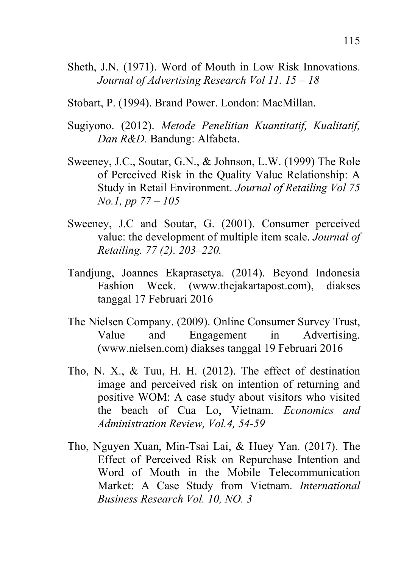- Sheth, J.N. (1971). Word of Mouth in Low Risk Innovations*. Journal of Advertising Research Vol 11. 15 – 18*
- Stobart, P. (1994). Brand Power. London: MacMillan.
- Sugiyono. (2012). *Metode Penelitian Kuantitatif, Kualitatif, Dan R&D.* Bandung: Alfabeta.
- Sweeney, J.C., Soutar, G.N., & Johnson, L.W. (1999) The Role of Perceived Risk in the Quality Value Relationship: A Study in Retail Environment. *Journal of Retailing Vol 75 No.1, pp 77 – 105*
- Sweeney, J.C and Soutar, G. (2001). Consumer perceived value: the development of multiple item scale. *Journal of Retailing. 77 (2). 203–220.*
- Tandjung, Joannes Ekaprasetya. (2014). Beyond Indonesia Fashion Week. (www.thejakartapost.com), diakses tanggal 17 Februari 2016
- The Nielsen Company. (2009). Online Consumer Survey Trust, Value and Engagement in Advertising. (www.nielsen.com) diakses tanggal 19 Februari 2016
- Tho, N. X., & Tuu, H. H. (2012). The effect of destination image and perceived risk on intention of returning and positive WOM: A case study about visitors who visited the beach of Cua Lo, Vietnam. *Economics and Administration Review, Vol.4, 54-59*
- Tho, Nguyen Xuan, Min-Tsai Lai, & Huey Yan. (2017). The Effect of Perceived Risk on Repurchase Intention and Word of Mouth in the Mobile Telecommunication Market: A Case Study from Vietnam. *International Business Research Vol. 10, NO. 3*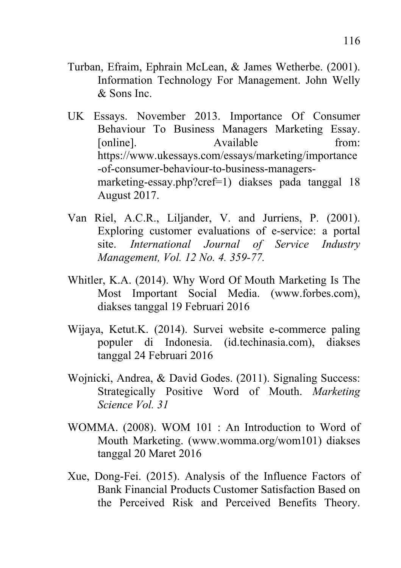- Turban, Efraim, Ephrain McLean, & James Wetherbe. (2001). Information Technology For Management. John Welly & Sons Inc.
- UK Essays. November 2013. Importance Of Consumer Behaviour To Business Managers Marketing Essay. [online]. Available from: https://www.ukessays.com/essays/marketing/importance -of-consumer-behaviour-to-business-managersmarketing-essay.php?cref=1) diakses pada tanggal 18 August 2017.
- Van Riel, A.C.R., Liljander, V. and Jurriens, P. (2001). Exploring customer evaluations of e-service: a portal site. *International Journal of Service Industry Management, Vol. 12 No. 4. 359-77.*
- Whitler, K.A. (2014). Why Word Of Mouth Marketing Is The Most Important Social Media. (www.forbes.com), diakses tanggal 19 Februari 2016
- Wijaya, Ketut.K. (2014). Survei website e-commerce paling populer di Indonesia. (id.techinasia.com), diakses tanggal 24 Februari 2016
- Wojnicki, Andrea, & David Godes. (2011). Signaling Success: Strategically Positive Word of Mouth. *Marketing Science Vol. 31*
- WOMMA. (2008). WOM 101 : An Introduction to Word of Mouth Marketing. (www.womma.org/wom101) diakses tanggal 20 Maret 2016
- Xue, Dong-Fei. (2015). Analysis of the Influence Factors of Bank Financial Products Customer Satisfaction Based on the Perceived Risk and Perceived Benefits Theory.